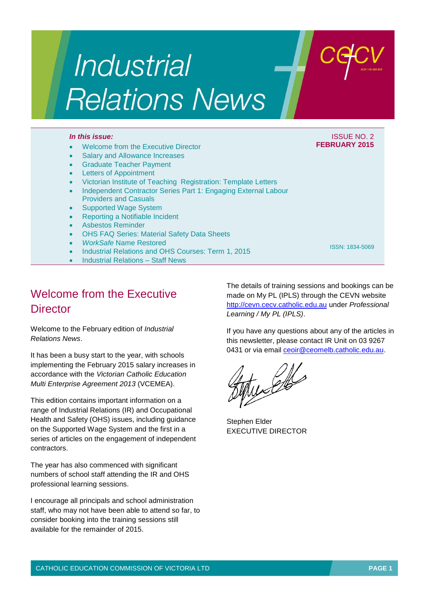# Industrial **Relations News**

### *In this issue:* ISSUE NO. 2

### Welcome from the Executive Director

- Salary and Allowance Increases
- Graduate Teacher Payment
- Letters of Appointment
- Victorian Institute of Teaching Registration: Template Letters
- Independent Contractor Series Part 1: Engaging External Labour Providers and Casuals
- Supported Wage System
- Reporting a Notifiable Incident
- Asbestos Reminder
- OHS FAQ Series: Material Safety Data Sheets
- *WorkSafe* Name Restored
- Industrial Relations and OHS Courses: Term 1, 2015
- Industrial Relations Staff News

Welcome from the Executive **Director** 

Welcome to the February edition of *Industrial Relations News*.

It has been a busy start to the year, with schools implementing the February 2015 salary increases in accordance with the *Victorian Catholic Education Multi Enterprise Agreement 2013* (VCEMEA).

This edition contains important information on a range of Industrial Relations (IR) and Occupational Health and Safety (OHS) issues, including guidance on the Supported Wage System and the first in a series of articles on the engagement of independent contractors.

The year has also commenced with significant numbers of school staff attending the IR and OHS professional learning sessions.

I encourage all principals and school administration staff, who may not have been able to attend so far, to consider booking into the training sessions still available for the remainder of 2015.

The details of training sessions and bookings can be made on My PL (IPLS) through the CEVN website [http://cevn.cecv.catholic.edu.au](http://cevn.cecv.catholic.edu.au/) under *Professional Learning / My PL (IPLS)*.

If you have any questions about any of the articles in this newsletter, please contact IR Unit on 03 9267 0431 or via email [ceoir@ceomelb.catholic.edu.au.](mailto:ceoir@ceomelb.catholic.edu.au)

Stephen Elder EXECUTIVE DIRECTOR





**FEBRUARY 2015**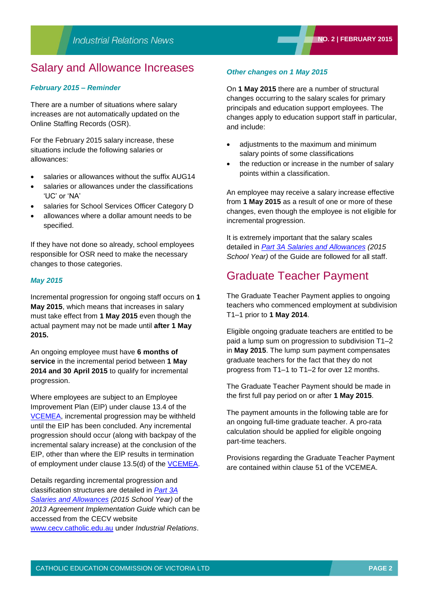### Salary and Allowance Increases

#### *February 2015 – Reminder*

There are a number of situations where salary increases are not automatically updated on the Online Staffing Records (OSR).

For the February 2015 salary increase, these situations include the following salaries or allowances:

- salaries or allowances without the suffix AUG14
- salaries or allowances under the classifications 'UC' or 'NA'
- salaries for School Services Officer Category D
- allowances where a dollar amount needs to be specified.

If they have not done so already, school employees responsible for OSR need to make the necessary changes to those categories.

#### *May 2015*

Incremental progression for ongoing staff occurs on **1 May 2015**, which means that increases in salary must take effect from **1 May 2015** even though the actual payment may not be made until **after 1 May 2015.**

An ongoing employee must have **6 months of service** in the incremental period between **1 May 2014 and 30 April 2015** to qualify for incremental progression.

Where employees are subject to an Employee Improvement Plan (EIP) under clause 13.4 of the [VCEMEA,](http://web.cecv.catholic.edu.au/vcsa/Agreement_2013/VCEMEA_2013.pdf) incremental progression may be withheld until the EIP has been concluded. Any incremental progression should occur (along with backpay of the incremental salary increase) at the conclusion of the EIP, other than where the EIP results in termination of employment under clause 13.5(d) of the [VCEMEA.](http://web.cecv.catholic.edu.au/vcsa/Agreement_2013/VCEMEA_2013.pdf)

Details regarding incremental progression and classification structures are detailed in *[Part 3A](http://www.cecv.catholic.edu.au/vcsa/Implementation_Guidelines/Part%203A.pdf)  [Salaries and Allowances](http://www.cecv.catholic.edu.au/vcsa/Implementation_Guidelines/Part%203A.pdf) (2015 School Year)* of the *2013 Agreement Implementation Guide* which can be accessed from the CECV website [www.cecv.catholic.edu.au](http://www.cecv.catholic.edu.au/) under *Industrial Relations*.

### *Other changes on 1 May 2015*

On **1 May 2015** there are a number of structural changes occurring to the salary scales for primary principals and education support employees. The changes apply to education support staff in particular, and include:

- adjustments to the maximum and minimum salary points of some classifications
- the reduction or increase in the number of salary points within a classification.

An employee may receive a salary increase effective from **1 May 2015** as a result of one or more of these changes, even though the employee is not eligible for incremental progression.

It is extremely important that the salary scales detailed in *[Part 3A Salaries and Allowances](http://www.cecv.catholic.edu.au/vcsa/Implementation_Guidelines/Part%203A.pdf) (2015 School Year)* of the Guide are followed for all staff.

### Graduate Teacher Payment

The Graduate Teacher Payment applies to ongoing teachers who commenced employment at subdivision T1–1 prior to **1 May 2014**.

Eligible ongoing graduate teachers are entitled to be paid a lump sum on progression to subdivision T1–2 in **May 2015**. The lump sum payment compensates graduate teachers for the fact that they do not progress from T1–1 to T1–2 for over 12 months.

The Graduate Teacher Payment should be made in the first full pay period on or after **1 May 2015**.

The payment amounts in the following table are for an ongoing full-time graduate teacher. A pro-rata calculation should be applied for eligible ongoing part-time teachers.

Provisions regarding the Graduate Teacher Payment are contained within clause 51 of the VCEMEA.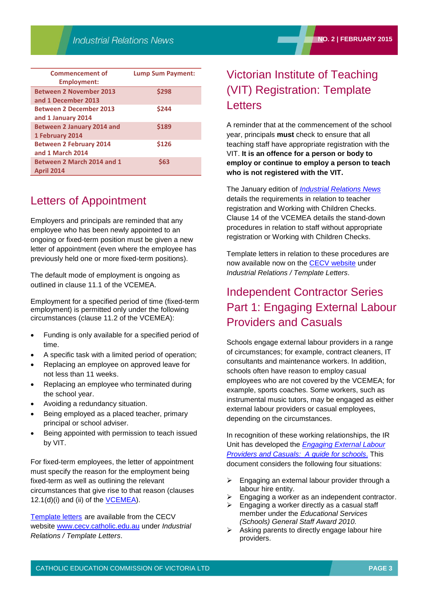| <b>Commencement of</b><br>Employment:                 | <b>Lump Sum Payment:</b> |
|-------------------------------------------------------|--------------------------|
| <b>Between 2 November 2013</b><br>and 1 December 2013 | \$298                    |
| <b>Between 2 December 2013</b><br>and 1 January 2014  | \$244                    |
| <b>Between 2 January 2014 and</b><br>1 February 2014  | \$189                    |
| <b>Between 2 February 2014</b><br>and 1 March 2014    | \$126                    |
| Between 2 March 2014 and 1<br><b>April 2014</b>       | \$63                     |

# Letters of Appointment

Employers and principals are reminded that any employee who has been newly appointed to an ongoing or fixed-term position must be given a new letter of appointment (even where the employee has previously held one or more fixed-term positions).

The default mode of employment is ongoing as outlined in clause 11.1 of the VCEMEA.

Employment for a specified period of time (fixed-term employment) is permitted only under the following circumstances (clause 11.2 of the VCEMEA):

- Funding is only available for a specified period of time.
- A specific task with a limited period of operation;
- Replacing an employee on approved leave for not less than 11 weeks.
- Replacing an employee who terminated during the school year.
- Avoiding a redundancy situation.
- Being employed as a placed teacher, primary principal or school adviser.
- Being appointed with permission to teach issued by VIT.

For fixed-term employees, the letter of appointment must specify the reason for the employment being fixed-term as well as outlining the relevant circumstances that give rise to that reason (clauses 12.1(d)(i) and (ii) of the [VCEMEA\)](http://web.cecv.catholic.edu.au/vcsa/Agreement_2013/VCEMEA_2013.pdf).

[Template letters](http://web.cecv.catholic.edu.au/vcsa/lettersofappointment/instructions.html) are available from the CECV website [www.cecv.catholic.edu.au](http://www.cecv.catholic.edu.au/) under *Industrial Relations / Template Letters*.

## Victorian Institute of Teaching (VIT) Registration: Template **Letters**

A reminder that at the commencement of the school year, principals **must** check to ensure that all teaching staff have appropriate registration with the VIT. **It is an offence for a person or body to employ or continue to employ a person to teach who is not registered with the VIT.**

The January edition of *[Industrial Relations News](http://web.cecv.catholic.edu.au/vcsa/newsletters/IR%20News,%20No.%201,%20Jan%202014.pdf)* details the requirements in relation to teacher registration and Working with Children Checks. Clause 14 of the VCEMEA details the stand-down procedures in relation to staff without appropriate registration or Working with Children Checks.

Template letters in relation to these procedures are now available now on the **CECV** website under *Industrial Relations / Template Letters*.

# Independent Contractor Series Part 1: Engaging External Labour Providers and Casuals

Schools engage external labour providers in a range of circumstances; for example, contract cleaners, IT consultants and maintenance workers. In addition, schools often have reason to employ casual employees who are not covered by the VCEMEA; for example, sports coaches. Some workers, such as instrumental music tutors, may be engaged as either external labour providers or casual employees, depending on the circumstances.

In recognition of these working relationships, the IR Unit has developed the *[Engaging External Labour](http://www.cecv.catholic.edu.au/vcsa/guidelines/independent_contractors/Engaging_External_Labour_Providers_and_Casuals.pdf)  [Providers and Casuals: A guide for schools](http://www.cecv.catholic.edu.au/vcsa/guidelines/independent_contractors/Engaging_External_Labour_Providers_and_Casuals.pdf)*. This document considers the following four situations:

- Engaging an external labour provider through a labour hire entity.
- Engaging a worker as an independent contractor.
- Engaging a worker directly as a casual staff member under the *Educational Services (Schools) General Staff Award 2010.*
- Asking parents to directly engage labour hire providers.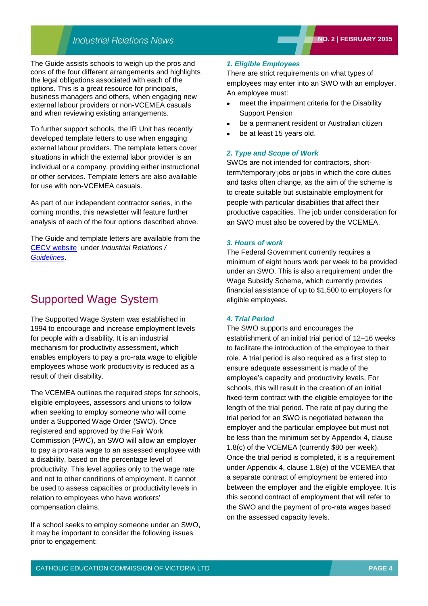### **Industrial Relations News**

The Guide assists schools to weigh up the pros and cons of the four different arrangements and highlights the legal obligations associated with each of the options. This is a great resource for principals, business managers and others, when engaging new external labour providers or non-VCEMEA casuals and when reviewing existing arrangements.

To further support schools, the IR Unit has recently developed template letters to use when engaging external labour providers. The template letters cover situations in which the external labor provider is an individual or a company, providing either instructional or other services. Template letters are also available for use with non-VCEMEA casuals.

As part of our independent contractor series, in the coming months, this newsletter will feature further analysis of each of the four options described above.

The Guide and template letters are available from the [CECV website](http://web.cecv.catholic.edu.au/vcsa/lettersofappointment/instructions.html) under *Industrial Relations / [Guidelines](http://www.cecv.catholic.edu.au/vcsa/guidelines/guideindex.htm)*.

### Supported Wage System

The Supported Wage System was established in 1994 to encourage and increase employment levels for people with a disability. It is an industrial mechanism for productivity assessment, which enables employers to pay a pro-rata wage to eligible employees whose work productivity is reduced as a result of their disability.

The VCEMEA outlines the required steps for schools, eligible employees, assessors and unions to follow when seeking to employ someone who will come under a Supported Wage Order (SWO). Once registered and approved by the Fair Work Commission (FWC), an SWO will allow an employer to pay a pro-rata wage to an assessed employee with a disability, based on the percentage level of productivity. This level applies only to the wage rate and not to other conditions of employment. It cannot be used to assess capacities or productivity levels in relation to employees who have workers' compensation claims.

If a school seeks to employ someone under an SWO, it may be important to consider the following issues prior to engagement:

#### *1. Eligible Employees*

There are strict requirements on what types of employees may enter into an SWO with an employer. An employee must:

- meet the impairment criteria for the Disability Support Pension
- be a permanent resident or Australian citizen
- be at least 15 years old.

#### *2. Type and Scope of Work*

SWOs are not intended for contractors, shortterm/temporary jobs or jobs in which the core duties and tasks often change, as the aim of the scheme is to create suitable but sustainable employment for people with particular disabilities that affect their productive capacities. The job under consideration for an SWO must also be covered by the VCEMEA.

#### *3. Hours of work*

The Federal Government currently requires a minimum of eight hours work per week to be provided under an SWO. This is also a requirement under the Wage Subsidy Scheme, which currently provides financial assistance of up to \$1,500 to employers for eligible employees.

#### *4. Trial Period*

The SWO supports and encourages the establishment of an initial trial period of 12–16 weeks to facilitate the introduction of the employee to their role. A trial period is also required as a first step to ensure adequate assessment is made of the employee's capacity and productivity levels. For schools, this will result in the creation of an initial fixed-term contract with the eligible employee for the length of the trial period. The rate of pay during the trial period for an SWO is negotiated between the employer and the particular employee but must not be less than the minimum set by Appendix 4, clause 1.8(c) of the VCEMEA (currently \$80 per week). Once the trial period is completed, it is a requirement under Appendix 4, clause 1.8(e) of the VCEMEA that a separate contract of employment be entered into between the employer and the eligible employee. It is this second contract of employment that will refer to the SWO and the payment of pro-rata wages based on the assessed capacity levels.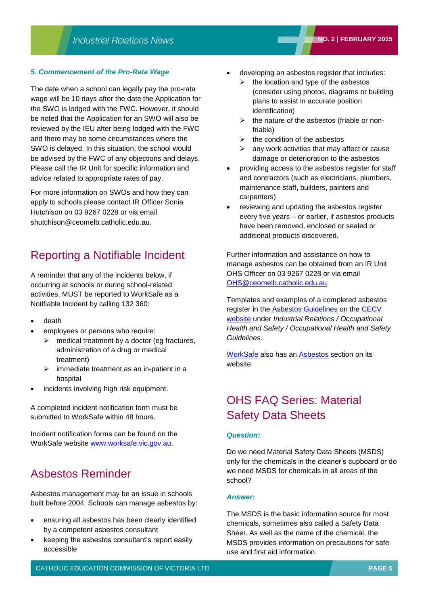### *5. Commencement of the Pro-Rata Wage*

The date when a school can legally pay the pro-rata wage will be 10 days after the date the Application for the SWO is lodged with the FWC. However, it should be noted that the Application for an SWO will also be reviewed by the IEU after being lodged with the FWC and there may be some circumstances where the SWO is delayed. In this situation, the school would be advised by the FWC of any objections and delays. Please call the IR Unit for specific information and advice related to appropriate rates of pay.

For more information on SWOs and how they can apply to schools please contact IR Officer Sonia Hutchison on 03 9267 0228 or via email shutchison@ceomelb.catholic.edu.au.

### Reporting a Notifiable Incident

A reminder that any of the incidents below, if occurring at schools or during school-related activities, MUST be reported to WorkSafe as a Notifiable Incident by calling 132 360:

- death
- employees or persons who require:
	- $\triangleright$  medical treatment by a doctor (eg fractures, administration of a drug or medical treatment)
	- $\triangleright$  immediate treatment as an in-patient in a hospital
- incidents involving high risk equipment.

A completed incident notification form must be submitted to WorkSafe within 48 hours.

Incident notification forms can be found on the WorkSafe website [www.worksafe.vic.gov.au.](http://www.worksafe.vic.gov.au/)

## Asbestos Reminder

Asbestos management may be an issue in schools built before 2004. Schools can manage asbestos by:

- ensuring all asbestos has been clearly identified by a competent asbestos consultant
- keeping the asbestos consultant's report easily accessible
- developing an asbestos register that includes:
	- $\triangleright$  the location and type of the asbestos (consider using photos, diagrams or building plans to assist in accurate position identification)
	- $\triangleright$  the nature of the asbestos (friable or nonfriable)
	- $\triangleright$  the condition of the asbestos
	- $\triangleright$  any work activities that may affect or cause damage or deterioration to the asbestos
- providing access to the asbestos register for staff and contractors (such as electricians, plumbers, maintenance staff, builders, painters and carpenters)
- reviewing and updating the asbestos register every five years – or earlier, if asbestos products have been removed, enclosed or sealed or additional products discovered.

Further information and assistance on how to manage asbestos can be obtained from an IR Unit OHS Officer on 03 9267 0228 or via email [OHS@ceomelb.catholic.edu.au.](mailto:OHS@ceomelb.catholic.edu.au)

Templates and examples of a completed asbestos register in the [Asbestos Guidelines](http://www.cecv.catholic.edu.au/vcsa/ohands/guidelines/asbestos.html) on the [CECV](http://web.cecv.catholic.edu.au/vcsa/lettersofappointment/instructions.html)  [website](http://web.cecv.catholic.edu.au/vcsa/lettersofappointment/instructions.html) under *Industrial Relations / Occupational Health and Safety / Occupational Health and Safety Guidelines.*

[WorkSafe](http://www.worksafe.vic.gov.au/home) also has an **Asbestos** section on its website.

# OHS FAQ Series: Material Safety Data Sheets

#### *Question:*

Do we need Material Safety Data Sheets (MSDS) only for the chemicals in the cleaner's cupboard or do we need MSDS for chemicals in all areas of the school?

#### *Answer:*

The MSDS is the basic information source for most chemicals, sometimes also called a Safety Data Sheet. As well as the name of the chemical, the MSDS provides information on precautions for safe use and first aid information.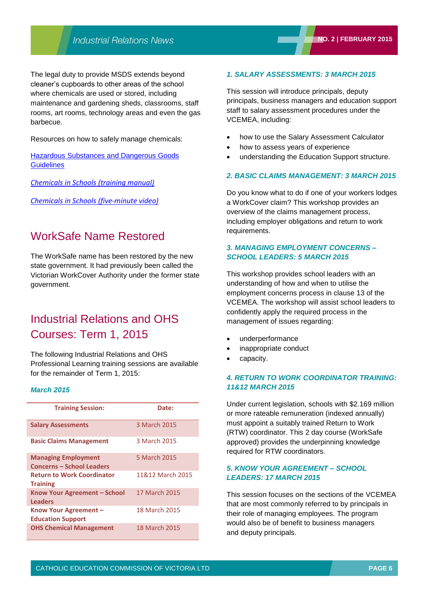The legal duty to provide MSDS extends beyond cleaner's cupboards to other areas of the school where chemicals are used or stored, including maintenance and gardening sheds, classrooms, staff rooms, art rooms, technology areas and even the gas barbecue.

Resources on how to safely manage chemicals:

[Hazardous Substances and Dangerous Goods](http://www.cecv.catholic.edu.au/vcsa/ohands/guidelines/hazardous_substances_and_dangerous_goods.html)  **[Guidelines](http://www.cecv.catholic.edu.au/vcsa/ohands/guidelines/hazardous_substances_and_dangerous_goods.html)** 

*[Chemicals in Schools](http://www.cecv.catholic.edu.au/vcsa/ohands/documents/Chemicals_in_Schools.pdf) (training manual)*

*[Chemicals in Schools \(five-minute video\)](http://www.cecv.catholic.edu.au/vcsa/ohands/ohs_in_schools.html)*

### WorkSafe Name Restored

The WorkSafe name has been restored by the new state government. It had previously been called the Victorian WorkCover Authority under the former state government.

## Industrial Relations and OHS Courses: Term 1, 2015

The following Industrial Relations and OHS Professional Learning training sessions are available for the remainder of Term 1, 2015:

#### *March 2015*

| <b>Training Session:</b>                                       | Date:            |
|----------------------------------------------------------------|------------------|
| <b>Salary Assessments</b>                                      | 3 March 2015     |
| <b>Basic Claims Management</b>                                 | 3 March 2015     |
| <b>Managing Employment</b><br><b>Concerns – School Leaders</b> | 5 March 2015     |
| <b>Return to Work Coordinator</b><br><b>Training</b>           | 11&12 March 2015 |
| Know Your Agreement - School<br><b>Leaders</b>                 | 17 March 2015    |
| Know Your Agreement -<br><b>Education Support</b>              | 18 March 2015    |
| <b>OHS Chemical Management</b>                                 | 18 March 2015    |

### *1. SALARY ASSESSMENTS: 3 MARCH 2015*

This session will introduce principals, deputy principals, business managers and education support staff to salary assessment procedures under the VCEMEA, including:

- how to use the Salary Assessment Calculator
- how to assess years of experience
- understanding the Education Support structure.

#### *2. BASIC CLAIMS MANAGEMENT: 3 MARCH 2015*

Do you know what to do if one of your workers lodges a WorkCover claim? This workshop provides an overview of the claims management process, including employer obligations and return to work requirements.

### *3. MANAGING EMPLOYMENT CONCERNS – SCHOOL LEADERS: 5 MARCH 2015*

This workshop provides school leaders with an understanding of how and when to utilise the employment concerns process in clause 13 of the VCEMEA. The workshop will assist school leaders to confidently apply the required process in the management of issues regarding:

- underperformance
- inappropriate conduct
- capacity.

### *4. RETURN TO WORK COORDINATOR TRAINING: 11&12 MARCH 2015*

Under current legislation, schools with \$2.169 million or more rateable remuneration (indexed annually) must appoint a suitably trained Return to Work (RTW) coordinator. This 2 day course (WorkSafe approved) provides the underpinning knowledge required for RTW coordinators.

### *5. KNOW YOUR AGREEMENT – SCHOOL LEADERS: 17 MARCH 2015*

This session focuses on the sections of the VCEMEA that are most commonly referred to by principals in their role of managing employees. The program would also be of benefit to business managers and deputy principals.